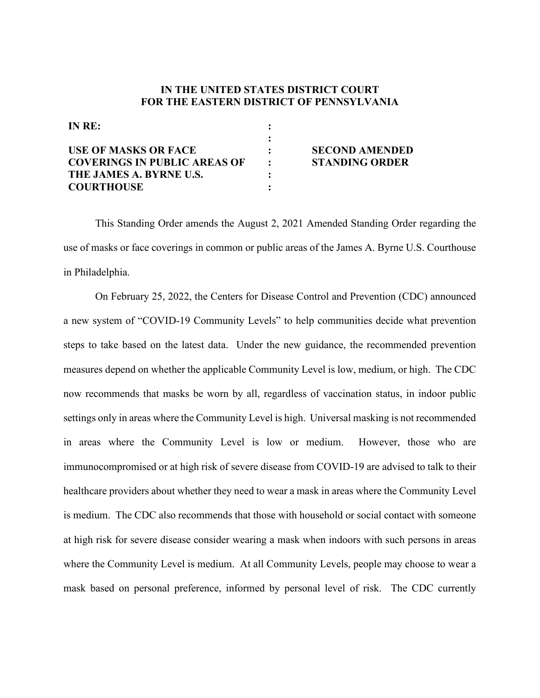## **IN THE UNITED STATES DISTRICT COURT FOR THE EASTERN DISTRICT OF PENNSYLVANIA**

| IN RE:                              |                       |
|-------------------------------------|-----------------------|
|                                     |                       |
| <b>USE OF MASKS OR FACE</b>         | <b>SECOND AMENDED</b> |
| <b>COVERINGS IN PUBLIC AREAS OF</b> | <b>STANDING ORDER</b> |
| THE JAMES A. BYRNE U.S.             |                       |
| <b>COURTHOUSE</b>                   |                       |

This Standing Order amends the August 2, 2021 Amended Standing Order regarding the use of masks or face coverings in common or public areas of the James A. Byrne U.S. Courthouse in Philadelphia.

On February 25, 2022, the Centers for Disease Control and Prevention (CDC) announced a new system of "COVID-19 Community Levels" to help communities decide what prevention steps to take based on the latest data. Under the new guidance, the recommended prevention measures depend on whether the applicable Community Level is low, medium, or high. The CDC now recommends that masks be worn by all, regardless of vaccination status, in indoor public settings only in areas where the Community Level is high. Universal masking is not recommended in areas where the Community Level is low or medium. However, those who are immunocompromised or at high risk of severe disease from COVID-19 are advised to talk to their healthcare providers about whether they need to wear a mask in areas where the Community Level is medium. The CDC also recommends that those with household or social contact with someone at high risk for severe disease consider wearing a mask when indoors with such persons in areas where the Community Level is medium. At all Community Levels, people may choose to wear a mask based on personal preference, informed by personal level of risk. The CDC currently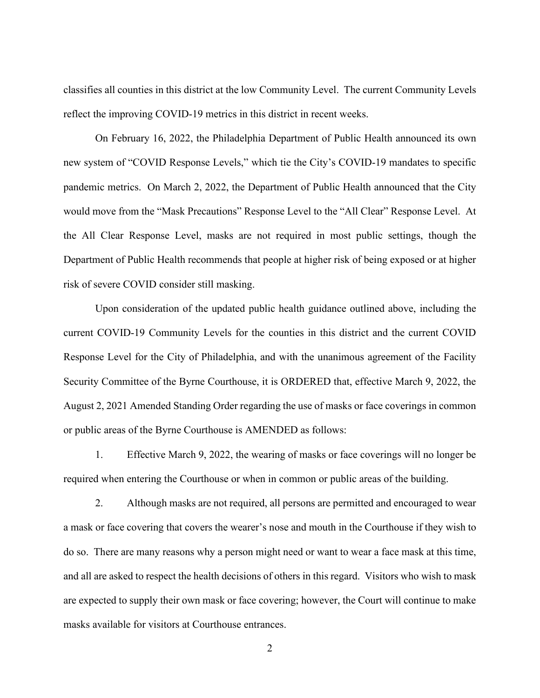classifies all counties in this district at the low Community Level. The current Community Levels reflect the improving COVID-19 metrics in this district in recent weeks.

On February 16, 2022, the Philadelphia Department of Public Health announced its own new system of "COVID Response Levels," which tie the City's COVID-19 mandates to specific pandemic metrics. On March 2, 2022, the Department of Public Health announced that the City would move from the "Mask Precautions" Response Level to the "All Clear" Response Level. At the All Clear Response Level, masks are not required in most public settings, though the Department of Public Health recommends that people at higher risk of being exposed or at higher risk of severe COVID consider still masking.

Upon consideration of the updated public health guidance outlined above, including the current COVID-19 Community Levels for the counties in this district and the current COVID Response Level for the City of Philadelphia, and with the unanimous agreement of the Facility Security Committee of the Byrne Courthouse, it is ORDERED that, effective March 9, 2022, the August 2, 2021 Amended Standing Order regarding the use of masks or face coverings in common or public areas of the Byrne Courthouse is AMENDED as follows:

1. Effective March 9, 2022, the wearing of masks or face coverings will no longer be required when entering the Courthouse or when in common or public areas of the building.

2. Although masks are not required, all persons are permitted and encouraged to wear a mask or face covering that covers the wearer's nose and mouth in the Courthouse if they wish to do so. There are many reasons why a person might need or want to wear a face mask at this time, and all are asked to respect the health decisions of others in this regard. Visitors who wish to mask are expected to supply their own mask or face covering; however, the Court will continue to make masks available for visitors at Courthouse entrances.